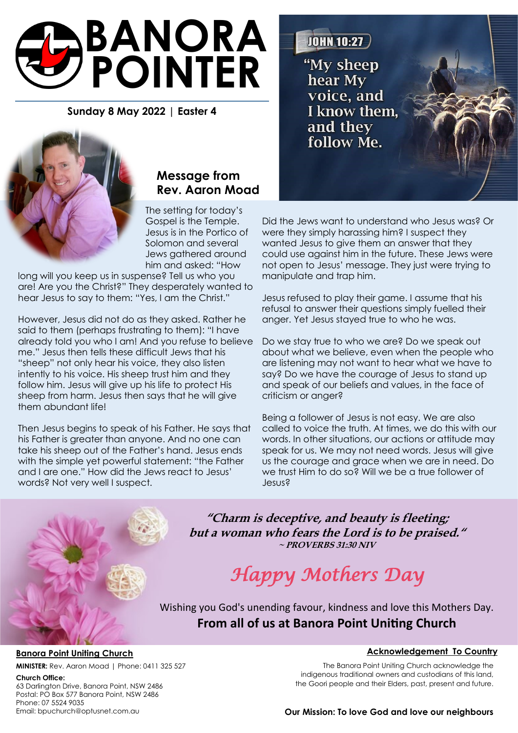# **BANORA POINTER**

# **Sunday 8 May 2022 | Easter 4**



# **Message from Rev. Aaron Moad**

The setting for today's Gospel is the Temple. Jesus is in the Portico of Solomon and several Jews gathered around him and asked: "How

long will you keep us in suspense? Tell us who you are! Are you the Christ?" They desperately wanted to hear Jesus to say to them: "Yes, I am the Christ."

However, Jesus did not do as they asked. Rather he said to them (perhaps frustrating to them): "I have already told you who I am! And you refuse to believe me." Jesus then tells these difficult Jews that his "sheep" not only hear his voice, they also listen intently to his voice. His sheep trust him and they follow him. Jesus will give up his life to protect His sheep from harm. Jesus then says that he will give them abundant life!

Then Jesus begins to speak of his Father. He says that his Father is greater than anyone. And no one can take his sheep out of the Father's hand. Jesus ends with the simple yet powerful statement: "the Father and I are one." How did the Jews react to Jesus' words? Not very well I suspect.

**JOHN 10:27** "My sheep hear My voice, and I know them. and they follow Me.

Did the Jews want to understand who Jesus was? Or were they simply harassing him? I suspect they wanted Jesus to give them an answer that they could use against him in the future. These Jews were not open to Jesus' message. They just were trying to manipulate and trap him.

Jesus refused to play their game. I assume that his refusal to answer their questions simply fuelled their anger. Yet Jesus stayed true to who he was.

Do we stay true to who we are? Do we speak out about what we believe, even when the people who are listening may not want to hear what we have to say? Do we have the courage of Jesus to stand up and speak of our beliefs and values, in the face of criticism or anger?

Being a follower of Jesus is not easy. We are also called to voice the truth. At times, we do this with our words. In other situations, our actions or attitude may speak for us. We may not need words. Jesus will give us the courage and grace when we are in need. Do we trust Him to do so? Will we be a true follower of Jesus?

**"Charm is deceptive, and beauty is fleeting; but a woman who fears the Lord is to be praised." ~ PROVERBS 31:30 NIV**

# *Happy Mothers Day*

Wishing you God's unending favour, kindness and love this Mothers Day. **From all of us at Banora Point Uniting Church**

#### **Banora Point Uniting Church**

**MINISTER:** Rev. Aaron Moad | Phone: 0411 325 527

#### **Church Office:**

63 Darlington Drive, Banora Point, NSW 2486 Postal: PO Box 577 Banora Point, NSW 2486 Phone: 07 5524 9035 Email: bpuchurch@optusnet.com.au

#### **Acknowledgement To Country**

The Banora Point Uniting Church acknowledge the indigenous traditional owners and custodians of this land, the Goori people and their Elders, past, present and future.